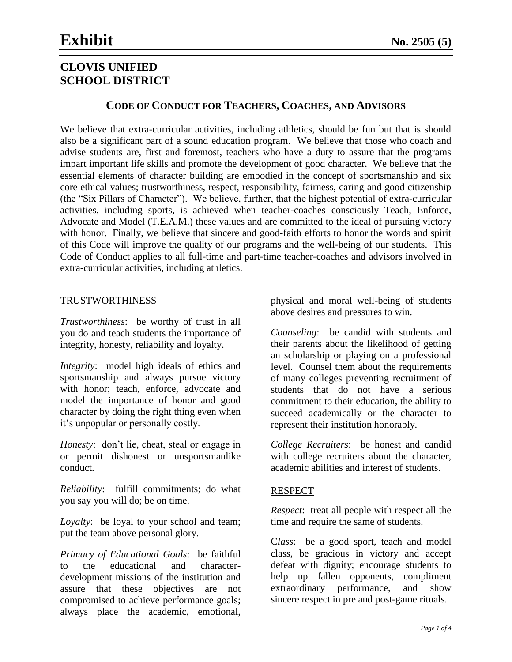### **CODE OF CONDUCT FOR TEACHERS, COACHES, AND ADVISORS**

We believe that extra-curricular activities, including athletics, should be fun but that is should also be a significant part of a sound education program. We believe that those who coach and advise students are, first and foremost, teachers who have a duty to assure that the programs impart important life skills and promote the development of good character. We believe that the essential elements of character building are embodied in the concept of sportsmanship and six core ethical values; trustworthiness, respect, responsibility, fairness, caring and good citizenship (the "Six Pillars of Character"). We believe, further, that the highest potential of extra-curricular activities, including sports, is achieved when teacher-coaches consciously Teach, Enforce, Advocate and Model (T.E.A.M.) these values and are committed to the ideal of pursuing victory with honor. Finally, we believe that sincere and good-faith efforts to honor the words and spirit of this Code will improve the quality of our programs and the well-being of our students. This Code of Conduct applies to all full-time and part-time teacher-coaches and advisors involved in extra-curricular activities, including athletics.

#### TRUSTWORTHINESS

*Trustworthiness*: be worthy of trust in all you do and teach students the importance of integrity, honesty, reliability and loyalty.

*Integrity*: model high ideals of ethics and sportsmanship and always pursue victory with honor; teach, enforce, advocate and model the importance of honor and good character by doing the right thing even when it's unpopular or personally costly.

*Honesty*: don't lie, cheat, steal or engage in or permit dishonest or unsportsmanlike conduct.

*Reliability*: fulfill commitments; do what you say you will do; be on time.

*Loyalty*: be loyal to your school and team; put the team above personal glory.

*Primacy of Educational Goals*: be faithful to the educational and characterdevelopment missions of the institution and assure that these objectives are not compromised to achieve performance goals; always place the academic, emotional,

physical and moral well-being of students above desires and pressures to win.

*Counseling*: be candid with students and their parents about the likelihood of getting an scholarship or playing on a professional level. Counsel them about the requirements of many colleges preventing recruitment of students that do not have a serious commitment to their education, the ability to succeed academically or the character to represent their institution honorably.

*College Recruiters*: be honest and candid with college recruiters about the character, academic abilities and interest of students.

#### RESPECT

*Respect*: treat all people with respect all the time and require the same of students.

C*lass*: be a good sport, teach and model class, be gracious in victory and accept defeat with dignity; encourage students to help up fallen opponents, compliment extraordinary performance, and show sincere respect in pre and post-game rituals.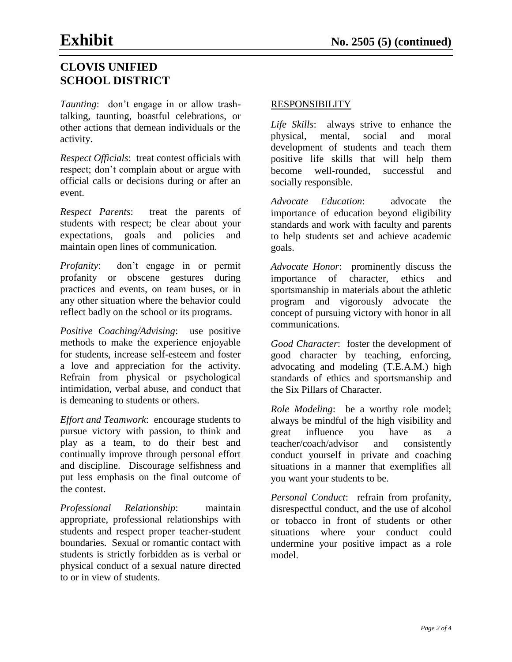*Taunting*: don't engage in or allow trashtalking, taunting, boastful celebrations, or other actions that demean individuals or the activity.

*Respect Officials*: treat contest officials with respect; don't complain about or argue with official calls or decisions during or after an event.

*Respect Parents*: treat the parents of students with respect; be clear about your expectations, goals and policies and maintain open lines of communication.

*Profanity*: don't engage in or permit profanity or obscene gestures during practices and events, on team buses, or in any other situation where the behavior could reflect badly on the school or its programs.

*Positive Coaching/Advising*: use positive methods to make the experience enjoyable for students, increase self-esteem and foster a love and appreciation for the activity. Refrain from physical or psychological intimidation, verbal abuse, and conduct that is demeaning to students or others.

*Effort and Teamwork*: encourage students to pursue victory with passion, to think and play as a team, to do their best and continually improve through personal effort and discipline. Discourage selfishness and put less emphasis on the final outcome of the contest.

*Professional Relationship*: maintain appropriate, professional relationships with students and respect proper teacher-student boundaries. Sexual or romantic contact with students is strictly forbidden as is verbal or physical conduct of a sexual nature directed to or in view of students.

### RESPONSIBILITY

*Life Skills*: always strive to enhance the physical, mental, social and moral development of students and teach them positive life skills that will help them become well-rounded, successful and socially responsible.

*Advocate Education*: advocate the importance of education beyond eligibility standards and work with faculty and parents to help students set and achieve academic goals.

*Advocate Honor*: prominently discuss the importance of character, ethics and sportsmanship in materials about the athletic program and vigorously advocate the concept of pursuing victory with honor in all communications.

*Good Character*: foster the development of good character by teaching, enforcing, advocating and modeling (T.E.A.M.) high standards of ethics and sportsmanship and the Six Pillars of Character.

*Role Modeling*: be a worthy role model; always be mindful of the high visibility and great influence you have as a teacher/coach/advisor and consistently conduct yourself in private and coaching situations in a manner that exemplifies all you want your students to be.

*Personal Conduct*: refrain from profanity, disrespectful conduct, and the use of alcohol or tobacco in front of students or other situations where your conduct could undermine your positive impact as a role model.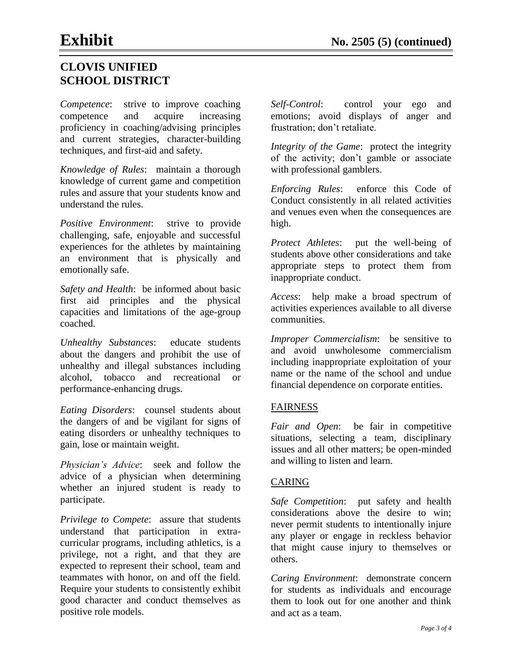*Competence*: strive to improve coaching competence and acquire increasing proficiency in coaching/advising principles and current strategies, character-building techniques, and first-aid and safety.

*Knowledge of Rules*: maintain a thorough knowledge of current game and competition rules and assure that your students know and understand the rules.

*Positive Environment*: strive to provide challenging, safe, enjoyable and successful experiences for the athletes by maintaining an environment that is physically and emotionally safe.

*Safety and Health*: be informed about basic first aid principles and the physical capacities and limitations of the age-group coached.

*Unhealthy Substances*: educate students about the dangers and prohibit the use of unhealthy and illegal substances including alcohol, tobacco and recreational or performance-enhancing drugs.

*Eating Disorders*: counsel students about the dangers of and be vigilant for signs of eating disorders or unhealthy techniques to gain, lose or maintain weight.

*Physician's Advice*: seek and follow the advice of a physician when determining whether an injured student is ready to participate.

*Privilege to Compete*: assure that students understand that participation in extracurricular programs, including athletics, is a privilege, not a right, and that they are expected to represent their school, team and teammates with honor, on and off the field. Require your students to consistently exhibit good character and conduct themselves as positive role models.

*Self-Control*: control your ego and emotions; avoid displays of anger and frustration; don't retaliate.

*Integrity of the Game*: protect the integrity of the activity; don't gamble or associate with professional gamblers.

*Enforcing Rules*: enforce this Code of Conduct consistently in all related activities and venues even when the consequences are high.

*Protect Athletes*: put the well-being of students above other considerations and take appropriate steps to protect them from inappropriate conduct.

*Access*: help make a broad spectrum of activities experiences available to all diverse communities.

*Improper Commercialism*: be sensitive to and avoid unwholesome commercialism including inappropriate exploitation of your name or the name of the school and undue financial dependence on corporate entities.

### FAIRNESS

*Fair and Open*: be fair in competitive situations, selecting a team, disciplinary issues and all other matters; be open-minded and willing to listen and learn.

### CARING

*Safe Competition*: put safety and health considerations above the desire to win; never permit students to intentionally injure any player or engage in reckless behavior that might cause injury to themselves or others.

*Caring Environment*: demonstrate concern for students as individuals and encourage them to look out for one another and think and act as a team.